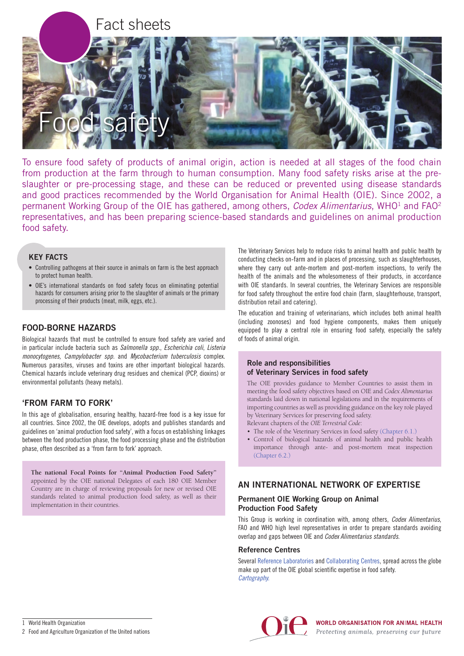

To ensure food safety of products of animal origin, action is needed at all stages of the food chain from production at the farm through to human consumption. Many food safety risks arise at the preslaughter or pre-processing stage, and these can be reduced or prevented using disease standards and good practices recommended by the World Organisation for Animal Health (OIE). Since 2002, a permanent Working Group of the OIE has gathered, among others, *Codex Alimentarius*, WHO1 and FAO2 representatives, and has been preparing science-based standards and guidelines on animal production food safety.

# KEY FACTS

- Controlling pathogens at their source in animals on farm is the best approach to protect human health.
- OIE's international standards on food safety focus on eliminating potential hazards for consumers arising prior to the slaughter of animals or the primary processing of their products (meat, milk, eggs, etc.).

# FOOD-BORNE HAZARDS

Biological hazards that must be controlled to ensure food safety are varied and in particular include bacteria such as *Salmonella spp.*, *Escherichia coli*, *Listeria monocytogenes, Campylobacter spp.* and *Mycobacterium tuberculosis* complex. Numerous parasites, viruses and toxins are other important biological hazards. Chemical hazards include veterinary drug residues and chemical (PCP, dioxins) or environmental pollutants (heavy metals).

# 'FROM FARM TO FORK'

In this age of globalisation, ensuring healthy, hazard-free food is a key issue for all countries. Since 2002, the OIE develops, adopts and publishes standards and guidelines on 'animal production food safety', with a focus on establishing linkages between the food production phase, the food processing phase and the distribution phase, often described as a 'from farm to fork' approach.

**The national Focal Points for "Animal Production Food Safety"** appointed by the OIE national Delegates of each 180 OIE Member Country are in charge of reviewing proposals for new or revised OIE standards related to animal production food safety, as well as their implementation in their countries.

The Veterinary Services help to reduce risks to animal health and public health by conducting checks on-farm and in places of processing, such as slaughterhouses, where they carry out ante-mortem and post-mortem inspections, to verify the health of the animals and the wholesomeness of their products, in accordance with OIE standards. In several countries, the Veterinary Services are responsible for food safety throughout the entire food chain (farm, slaughterhouse, transport, distribution retail and catering).

The education and training of veterinarians, which includes both animal health (including zoonoses) and food hygiene components, makes them uniquely equipped to play a central role in ensuring food safety, especially the safety of foods of animal origin.

### Role and responsibilities of Veterinary Services in food safety

The OIE provides guidance to Member Countries to assist them in meeting the food safety objectives based on OIE and *Codex Alimentarius* standards laid down in national legislations and in the requirements of importing countries as well as providing guidance on the key role played by Veterinary Services for preserving food safety. Relevant chapters of the *OIE Terrestrial Code*:

• The role of the Veterinary Services in food safety [\(Chapter 6.1.\)](http://www.oie.int/index.php?id=169&L=0&htmfile=chapitre_role_vet_serv_food.htm)

• Control of biological hazards of animal health and public health importance through ante‑ and post-mortem meat inspection [\(Chapter 6.2.\)](http://www.oie.int/index.php?id=169&L=0&htmfile=chapitre_control_bio_hazard.htm)

# AN INTERNATIONAL NETWORK OF EXPERTISE

# Permanent OIE Working Group on Animal Production Food Safety

This Group is working in coordination with, among others, *Codex Alimentarius*, FAO and WHO high level representatives in order to prepare standards avoiding overlap and gaps between OIE and *Codex Alimentarius standards*.

## Reference Centres

Several [Reference Laboratories](http://www.oie.int/en/our-scientific-expertise/reference-laboratories/list-of-laboratories/) and [Collaborating Centres](http://www.oie.int/en/our-scientific-expertise/collaborating-centres/list-of-centres/), spread across the globe make up part of the OIE global scientific expertise in food safety. *[Cartography.](http://www.90.oie.int/en/Cartography#/centers/food)*

2 Food and Agriculture Organization of the United nations